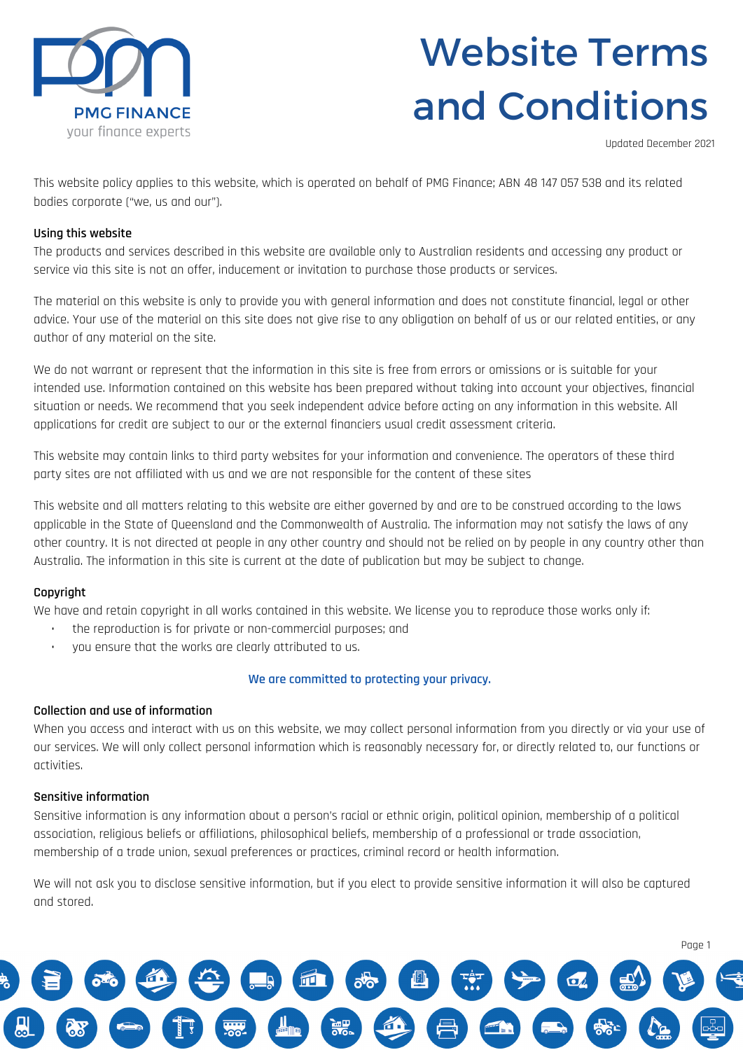

## Website Terms and Conditions

Updated December 2021

This website policy applies to this website, which is operated on behalf of PMG Finance; ABN 48 147 057 538 and its related bodies corporate ("we, us and our").

#### **Using this website**

The products and services described in this website are available only to Australian residents and accessing any product or service via this site is not an offer, inducement or invitation to purchase those products or services.

The material on this website is only to provide you with general information and does not constitute financial, legal or other advice. Your use of the material on this site does not give rise to any obligation on behalf of us or our related entities, or any author of any material on the site.

We do not warrant or represent that the information in this site is free from errors or omissions or is suitable for your intended use. Information contained on this website has been prepared without taking into account your objectives, financial situation or needs. We recommend that you seek independent advice before acting on any information in this website. All applications for credit are subject to our or the external financiers usual credit assessment criteria.

This website may contain links to third party websites for your information and convenience. The operators of these third party sites are not affiliated with us and we are not responsible for the content of these sites

This website and all matters relating to this website are either governed by and are to be construed according to the laws applicable in the State of Queensland and the Commonwealth of Australia. The information may not satisfy the laws of any other country. It is not directed at people in any other country and should not be relied on by people in any country other than Australia. The information in this site is current at the date of publication but may be subject to change.

#### **Copyright**

We have and retain copyright in all works contained in this website. We license you to reproduce those works only if:

- the reproduction is for private or non-commercial purposes; and
- you ensure that the works are clearly attributed to us.

#### **We are committed to protecting your privacy.**

#### **Collection and use of information**

When you access and interact with us on this website, we may collect personal information from you directly or via your use of our services. We will only collect personal information which is reasonably necessary for, or directly related to, our functions or activities.

#### **Sensitive information**

Sensitive information is any information about a person's racial or ethnic origin, political opinion, membership of a political association, religious beliefs or affiliations, philosophical beliefs, membership of a professional or trade association, membership of a trade union, sexual preferences or practices, criminal record or health information.

We will not ask you to disclose sensitive information, but if you elect to provide sensitive information it will also be captured and stored.

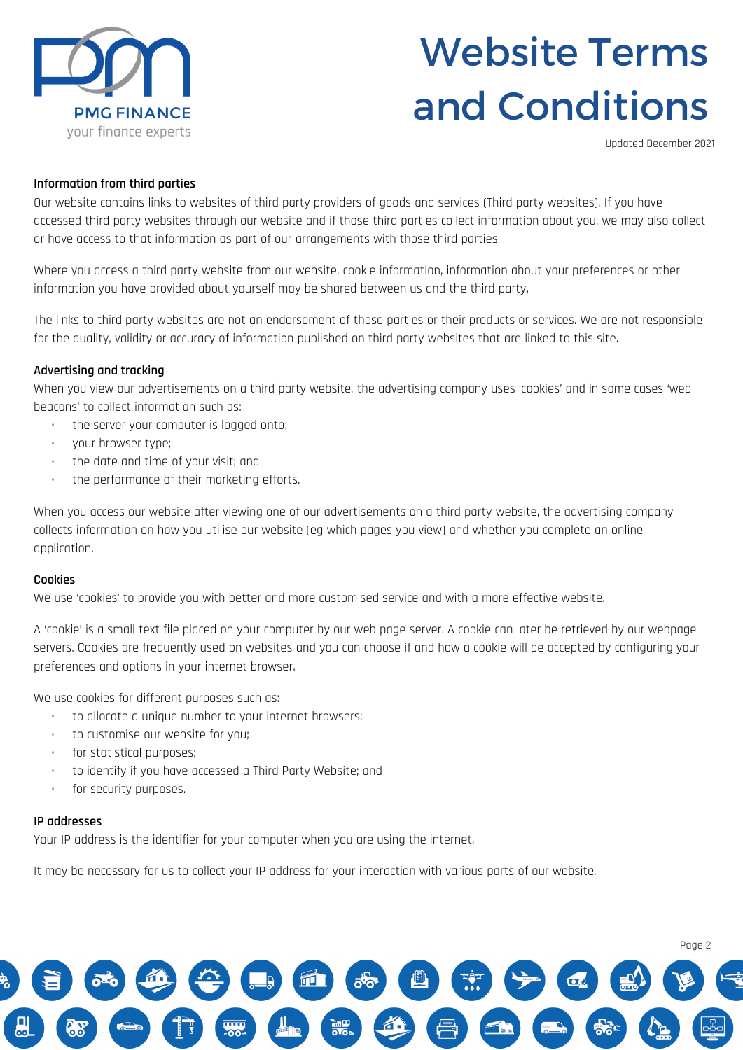

# Website Terms and Conditions

Updated December 2021

## **Information from third parties**

Our website contains links to websites of third party providers of goods and services (Third party websites). If you have accessed third party websites through our website and if those third parties collect information about you, we may also collect or have access to that information as part of our arrangements with those third parties.

Where you access a third party website from our website, cookie information, information about your preferences or other information you have provided about yourself may be shared between us and the third party.

The links to third party websites are not an endorsement of those parties or their products or services. We are not responsible for the quality, validity or accuracy of information published on third party websites that are linked to this site.

## **Advertising and tracking**

When you view our advertisements on a third party website, the advertising company uses 'cookies' and in some cases 'web beacons' to collect information such as:

- the server your computer is logged onto;
- your browser type;
- the date and time of your visit; and
- the performance of their marketing efforts.

When you access our website after viewing one of our advertisements on a third party website, the advertising company collects information on how you utilise our website (eg which pages you view) and whether you complete an online application.

#### **Cookies**

We use 'cookies' to provide you with better and more customised service and with a more effective website.

A 'cookie' is a small text file placed on your computer by our web page server. A cookie can later be retrieved by our webpage servers. Cookies are frequently used on websites and you can choose if and how a cookie will be accepted by configuring your preferences and options in your internet browser.

We use cookies for different purposes such as:

- to allocate a unique number to your internet browsers;
- to customise our website for you;
- for statistical purposes;
- to identify if you have accessed a Third Party Website; and
- for security purposes.

#### **IP addresses**

Your IP address is the identifier for your computer when you are using the internet.

It may be necessary for us to collect your IP address for your interaction with various parts of our website.